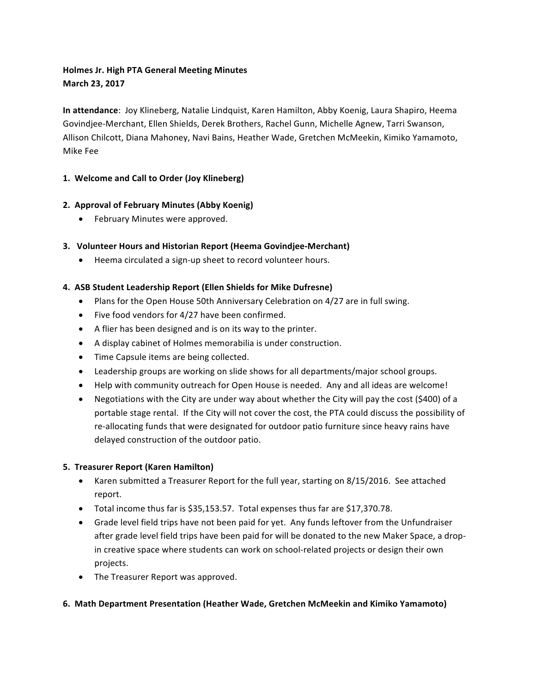# **Holmes Jr. High PTA General Meeting Minutes March 23, 2017**

**In attendance**: Joy Klineberg, Natalie Lindquist, Karen Hamilton, Abby Koenig, Laura Shapiro, Heema Govindjee-Merchant, Ellen Shields, Derek Brothers, Rachel Gunn, Michelle Agnew, Tarri Swanson, Allison Chilcott, Diana Mahoney, Navi Bains, Heather Wade, Gretchen McMeekin, Kimiko Yamamoto, Mike Fee

## **1. Welcome and Call to Order (Joy Klineberg)**

## **2. Approval of February Minutes (Abby Koenig)**

• February Minutes were approved.

### **3. Volunteer Hours and Historian Report (Heema Govindjee-Merchant)**

• Heema circulated a sign-up sheet to record volunteer hours.

## **4. ASB Student Leadership Report (Ellen Shields for Mike Dufresne)**

- Plans for the Open House 50th Anniversary Celebration on 4/27 are in full swing.
- $\bullet$  Five food vendors for 4/27 have been confirmed.
- A flier has been designed and is on its way to the printer.
- A display cabinet of Holmes memorabilia is under construction.
- Time Capsule items are being collected.
- Leadership groups are working on slide shows for all departments/major school groups.
- Help with community outreach for Open House is needed. Any and all ideas are welcome!
- Negotiations with the City are under way about whether the City will pay the cost (\$400) of a portable stage rental. If the City will not cover the cost, the PTA could discuss the possibility of re-allocating funds that were designated for outdoor patio furniture since heavy rains have delayed construction of the outdoor patio.

### **5. Treasurer Report (Karen Hamilton)**

- Karen submitted a Treasurer Report for the full year, starting on 8/15/2016. See attached report.
- Total income thus far is \$35,153.57. Total expenses thus far are \$17,370.78.
- Grade level field trips have not been paid for yet. Any funds leftover from the Unfundraiser after grade level field trips have been paid for will be donated to the new Maker Space, a dropin creative space where students can work on school-related projects or design their own projects.
- The Treasurer Report was approved.

### **6.** Math Department Presentation (Heather Wade, Gretchen McMeekin and Kimiko Yamamoto)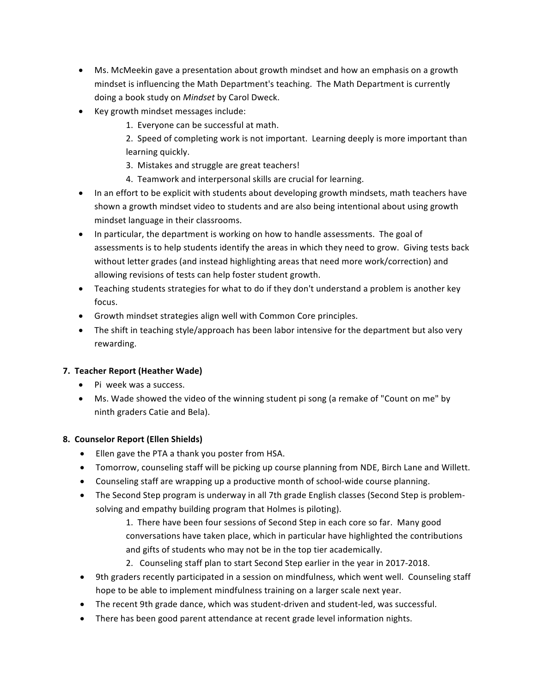- Ms. McMeekin gave a presentation about growth mindset and how an emphasis on a growth mindset is influencing the Math Department's teaching. The Math Department is currently doing a book study on *Mindset* by Carol Dweck.
- Key growth mindset messages include:
	- 1. Everyone can be successful at math.

2. Speed of completing work is not important. Learning deeply is more important than learning quickly.

- 3. Mistakes and struggle are great teachers!
- 4. Teamwork and interpersonal skills are crucial for learning.
- In an effort to be explicit with students about developing growth mindsets, math teachers have shown a growth mindset video to students and are also being intentional about using growth mindset language in their classrooms.
- In particular, the department is working on how to handle assessments. The goal of assessments is to help students identify the areas in which they need to grow. Giving tests back without letter grades (and instead highlighting areas that need more work/correction) and allowing revisions of tests can help foster student growth.
- Teaching students strategies for what to do if they don't understand a problem is another key focus.
- Growth mindset strategies align well with Common Core principles.
- The shift in teaching style/approach has been labor intensive for the department but also very rewarding.

### **7. Teacher Report (Heather Wade)**

- Pi week was a success.
- Ms. Wade showed the video of the winning student pi song (a remake of "Count on me" by ninth graders Catie and Bela).

### **8. Counselor Report (Ellen Shields)**

- Ellen gave the PTA a thank you poster from HSA.
- Tomorrow, counseling staff will be picking up course planning from NDE, Birch Lane and Willett.
- Counseling staff are wrapping up a productive month of school-wide course planning.
- The Second Step program is underway in all 7th grade English classes (Second Step is problemsolving and empathy building program that Holmes is piloting).

1. There have been four sessions of Second Step in each core so far. Many good conversations have taken place, which in particular have highlighted the contributions and gifts of students who may not be in the top tier academically.

- 2. Counseling staff plan to start Second Step earlier in the year in 2017-2018.
- 9th graders recently participated in a session on mindfulness, which went well. Counseling staff hope to be able to implement mindfulness training on a larger scale next year.
- The recent 9th grade dance, which was student-driven and student-led, was successful.
- There has been good parent attendance at recent grade level information nights.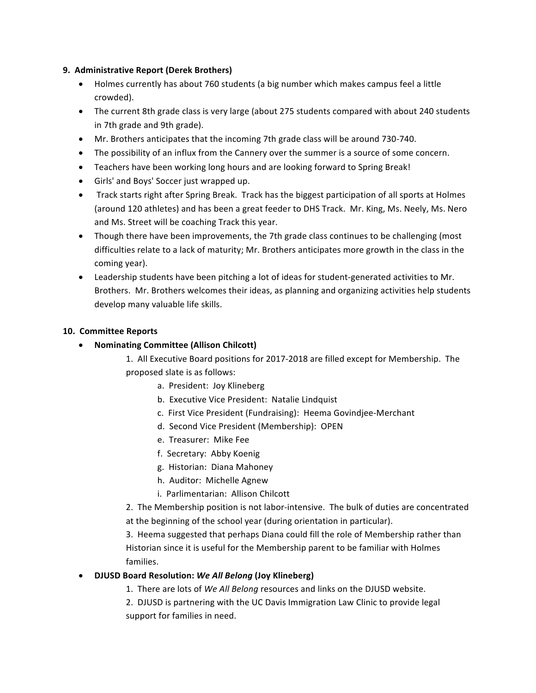#### **9. Administrative Report (Derek Brothers)**

- Holmes currently has about 760 students (a big number which makes campus feel a little crowded).
- The current 8th grade class is very large (about 275 students compared with about 240 students in 7th grade and 9th grade).
- Mr. Brothers anticipates that the incoming 7th grade class will be around 730-740.
- The possibility of an influx from the Cannery over the summer is a source of some concern.
- Teachers have been working long hours and are looking forward to Spring Break!
- Girls' and Boys' Soccer just wrapped up.
- Track starts right after Spring Break. Track has the biggest participation of all sports at Holmes (around 120 athletes) and has been a great feeder to DHS Track. Mr. King, Ms. Neely, Ms. Nero and Ms. Street will be coaching Track this year.
- Though there have been improvements, the 7th grade class continues to be challenging (most difficulties relate to a lack of maturity; Mr. Brothers anticipates more growth in the class in the coming year).
- Leadership students have been pitching a lot of ideas for student-generated activities to Mr. Brothers. Mr. Brothers welcomes their ideas, as planning and organizing activities help students develop many valuable life skills.

#### **10. Committee Reports**

• **Nominating Committee (Allison Chilcott)**

1. All Executive Board positions for 2017-2018 are filled except for Membership. The proposed slate is as follows:

- a. President: Joy Klineberg
- b. Executive Vice President: Natalie Lindquist
- c. First Vice President (Fundraising): Heema Govindjee-Merchant
- d. Second Vice President (Membership): OPEN
- e. Treasurer: Mike Fee
- f. Secretary: Abby Koenig
- g. Historian: Diana Mahoney
- h. Auditor: Michelle Agnew
- i. Parlimentarian: Allison Chilcott

2. The Membership position is not labor-intensive. The bulk of duties are concentrated at the beginning of the school year (during orientation in particular).

3. Heema suggested that perhaps Diana could fill the role of Membership rather than Historian since it is useful for the Membership parent to be familiar with Holmes families.

### • **DJUSD Board Resolution:** *We All Belong* **(Joy Klineberg)**

1. There are lots of We All Belong resources and links on the DJUSD website.

2. DJUSD is partnering with the UC Davis Immigration Law Clinic to provide legal support for families in need.